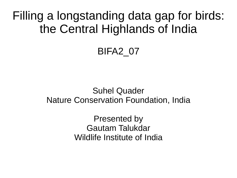Filling a longstanding data gap for birds: the Central Highlands of India

#### BIFA2\_07

#### Suhel Quader Nature Conservation Foundation, India

Presented by Gautam Talukdar Wildlife Institute of India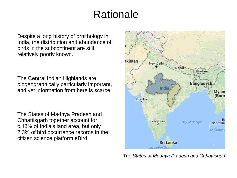# Rationale

Despite a long history of ornithology in India, the distribution and abundance of birds in the subcontinent are still relatively poorly known.

The Central Indian Highlands are biogeographically particularly important, and yet information from here is scarce.

The States of Madhya Pradesh and Chhattisgarh together account for c.13% of India's land area, but only 2.3% of bird occurrence records in the citizen science platform eBird.



*The States of Madhya Pradesh and Chhattisgarh*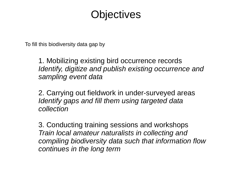# **Objectives**

To fill this biodiversity data gap by

1. Mobilizing existing bird occurrence records *Identify, digitize and publish existing occurrence and sampling event data*

2. Carrying out fieldwork in under-surveyed areas *Identify gaps and fill them using targeted data collection*

3. Conducting training sessions and workshops *Train local amateur naturalists in collecting and compiling biodiversity data such that information flow continues in the long term*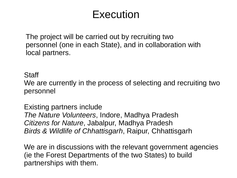### Execution

The project will be carried out by recruiting two personnel (one in each State), and in collaboration with local partners.

**Staff** 

We are currently in the process of selecting and recruiting two personnel

Existing partners include *The Nature Volunteers*, Indore, Madhya Pradesh *Citizens for Nature*, Jabalpur, Madhya Pradesh *Birds & Wildlife of Chhattisgarh*, Raipur, Chhattisgarh

We are in discussions with the relevant government agencies (ie the Forest Departments of the two States) to build partnerships with them.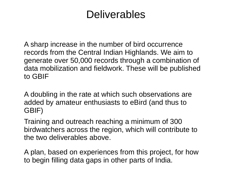## Deliverables

A sharp increase in the number of bird occurrence records from the Central Indian Highlands. We aim to generate over 50,000 records through a combination of data mobilization and fieldwork. These will be published to GBIF

A doubling in the rate at which such observations are added by amateur enthusiasts to eBird (and thus to GBIF)

Training and outreach reaching a minimum of 300 birdwatchers across the region, which will contribute to the two deliverables above.

A plan, based on experiences from this project, for how to begin filling data gaps in other parts of India.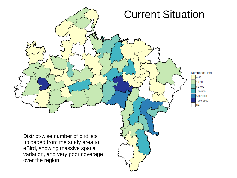